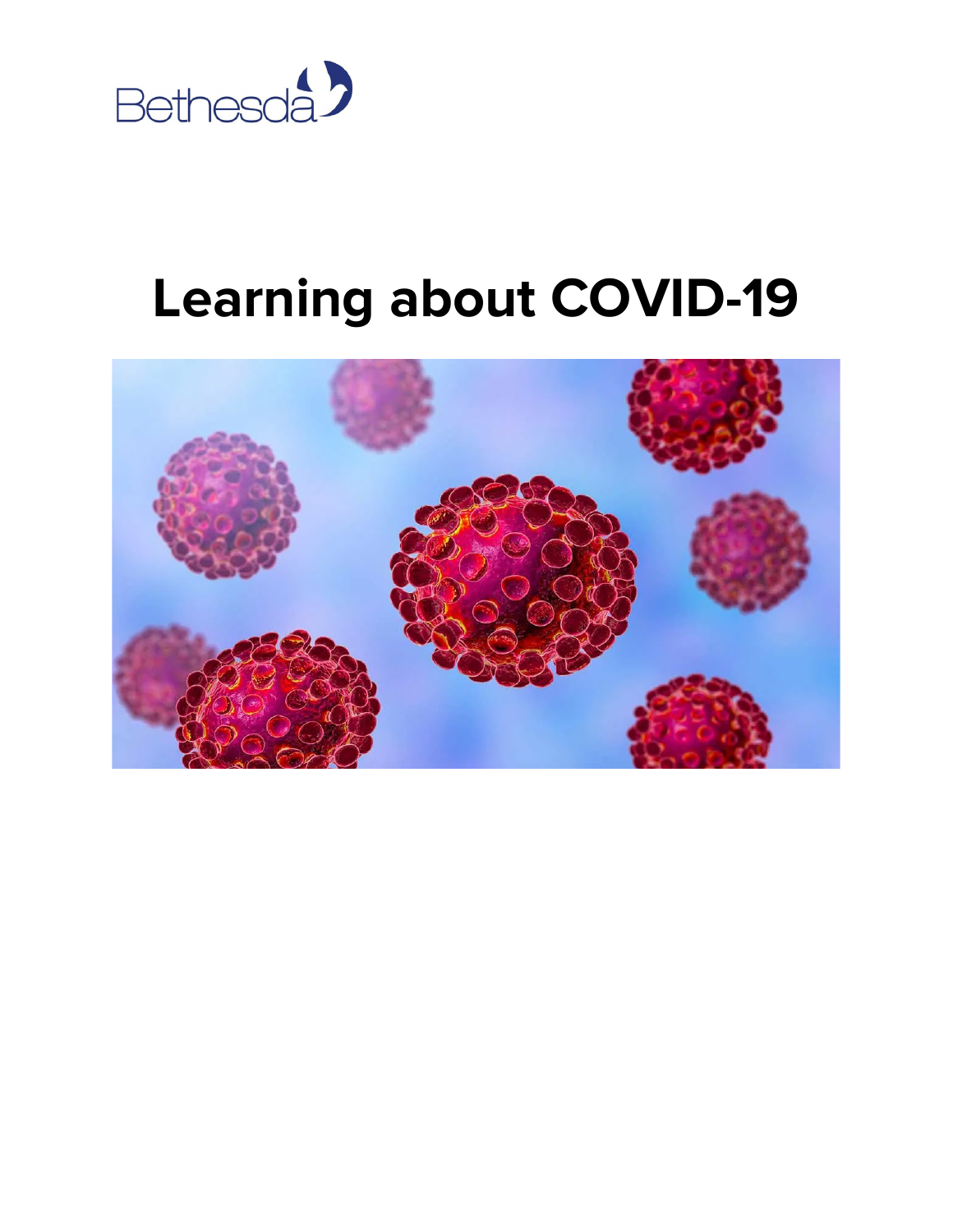

## **Learning about COVID-19**

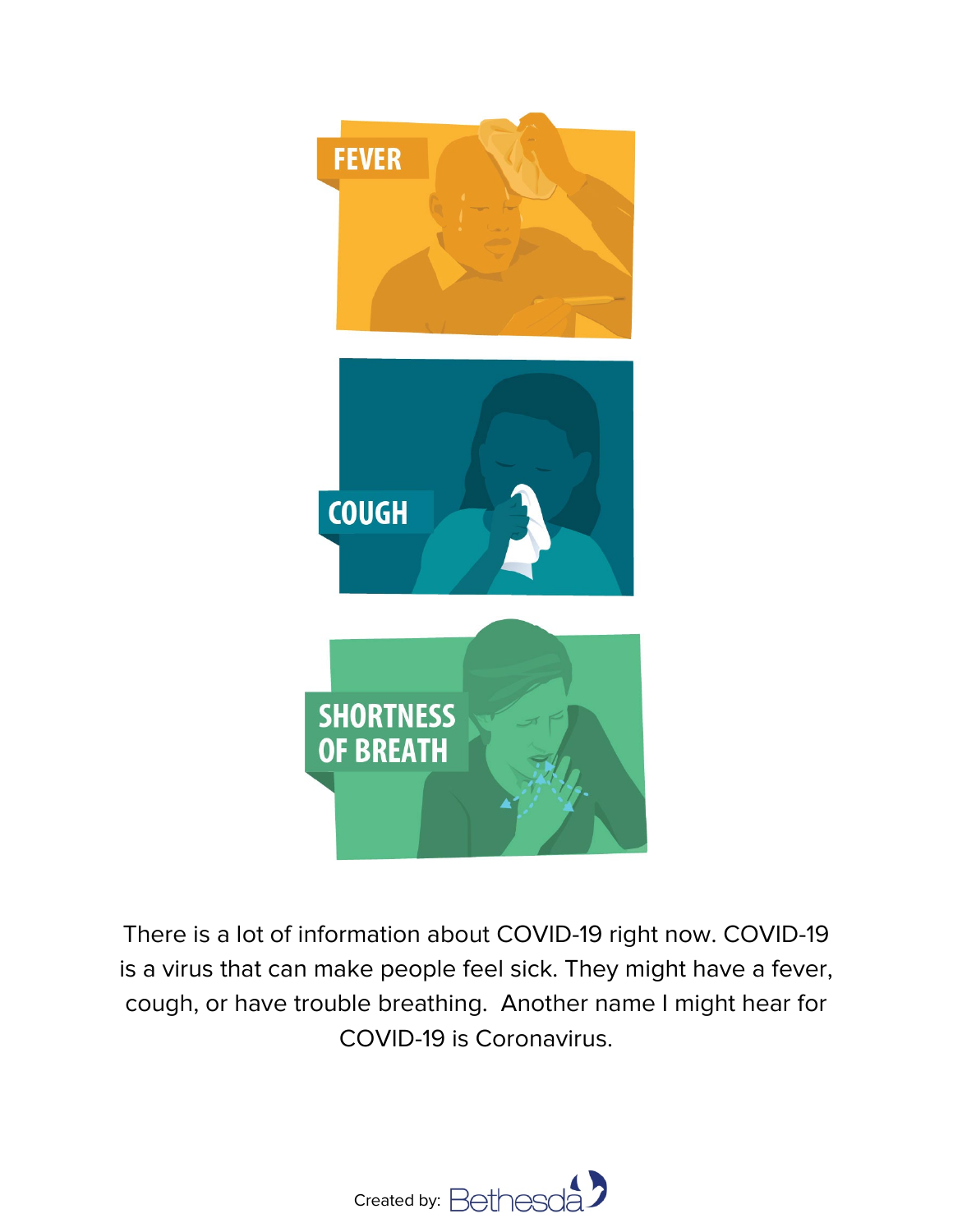

There is a lot of information about COVID-19 right now. COVID-19 is a virus that can make people feel sick. They might have a fever, cough, or have trouble breathing. Another name I might hear for COVID-19 is Coronavirus.

![](_page_1_Picture_2.jpeg)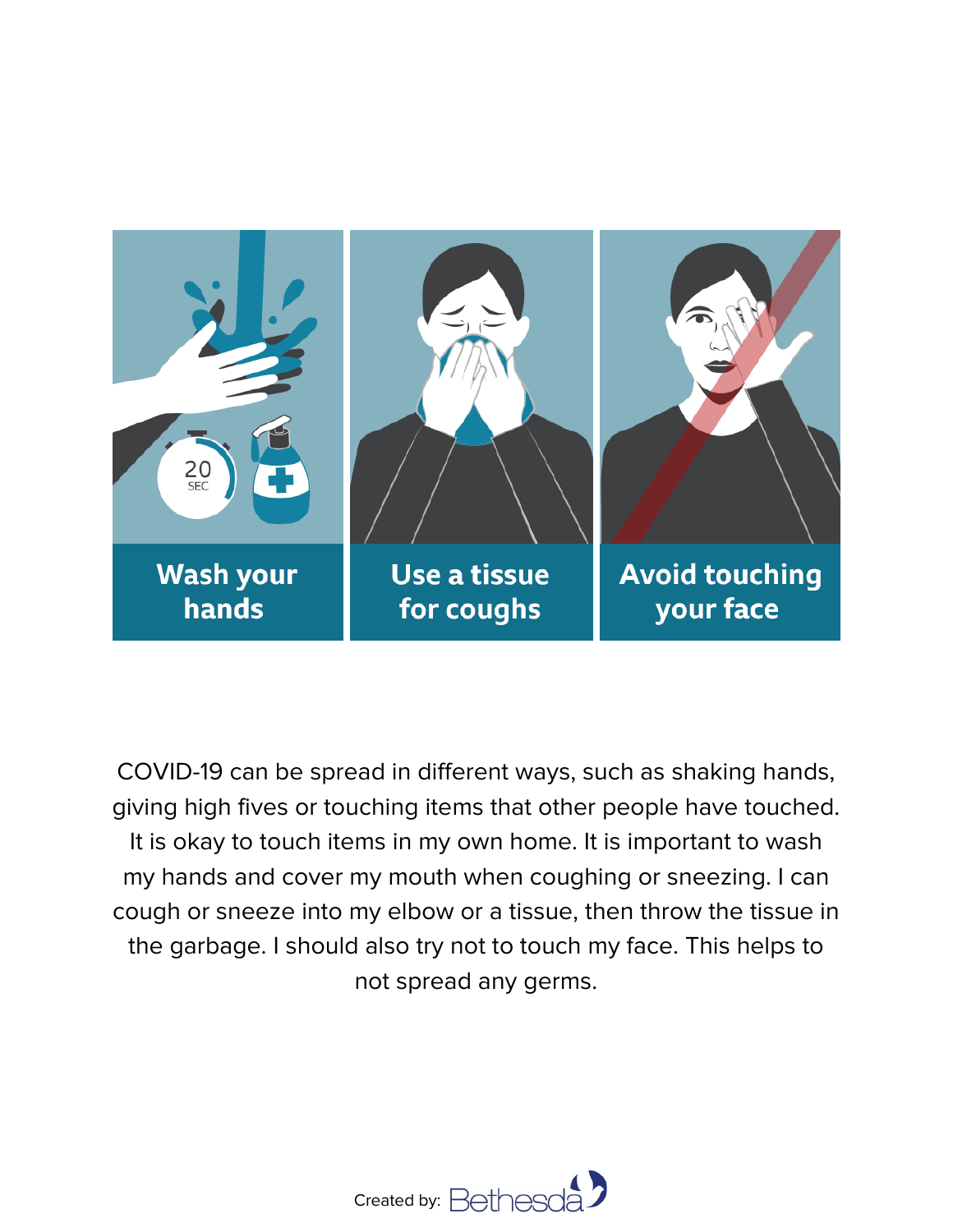![](_page_2_Picture_0.jpeg)

COVID-19 can be spread in different ways, such as shaking hands, giving high fives or touching items that other people have touched. It is okay to touch items in my own home. It is important to wash my hands and cover my mouth when coughing or sneezing. I can cough or sneeze into my elbow or a tissue, then throw the tissue in the garbage. I should also try not to touch my face. This helps to not spread any germs.

![](_page_2_Picture_2.jpeg)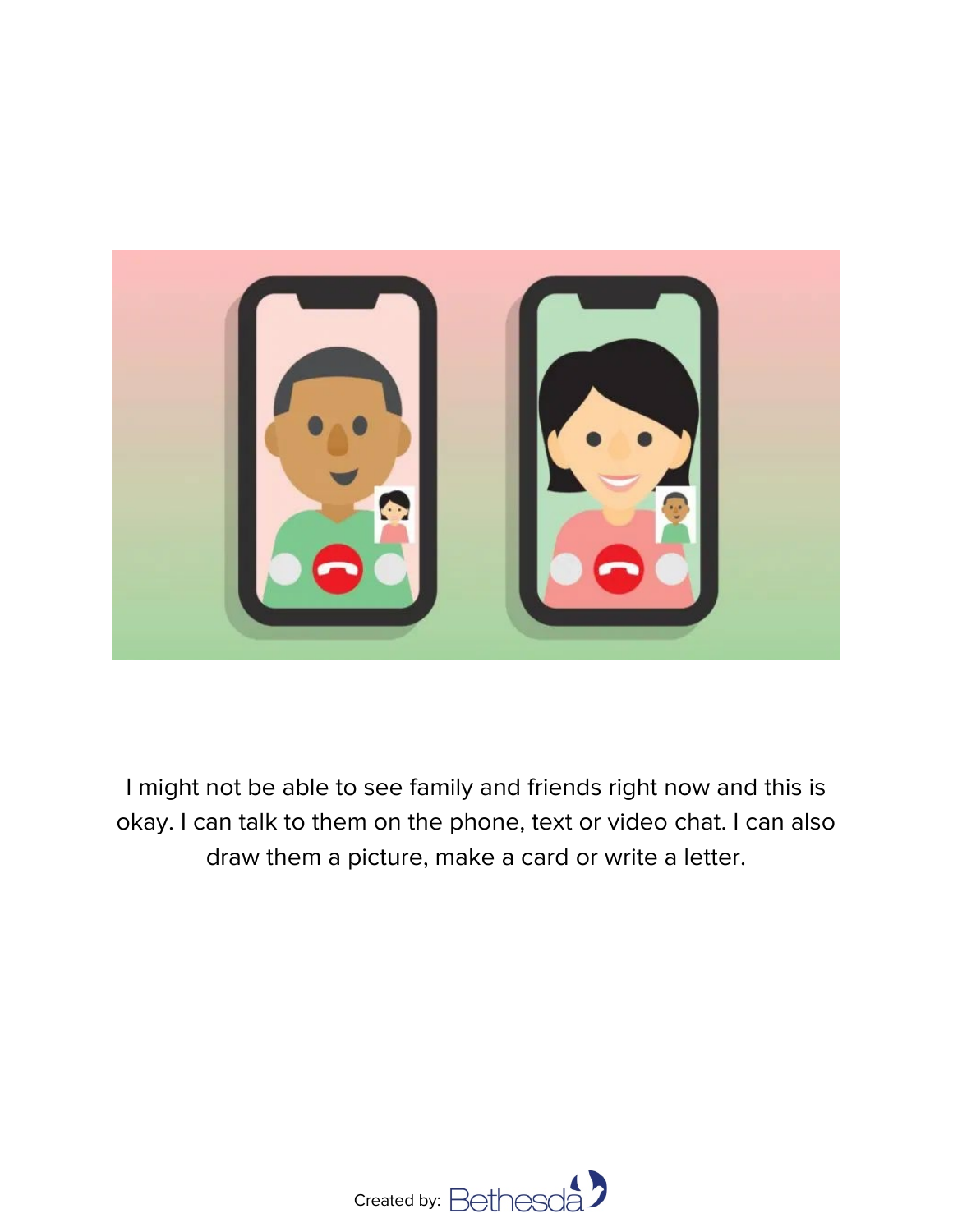![](_page_3_Picture_0.jpeg)

I might not be able to see family and friends right now and this is okay. I can talk to them on the phone, text or video chat. I can also draw them a picture, make a card or write a letter.

![](_page_3_Picture_2.jpeg)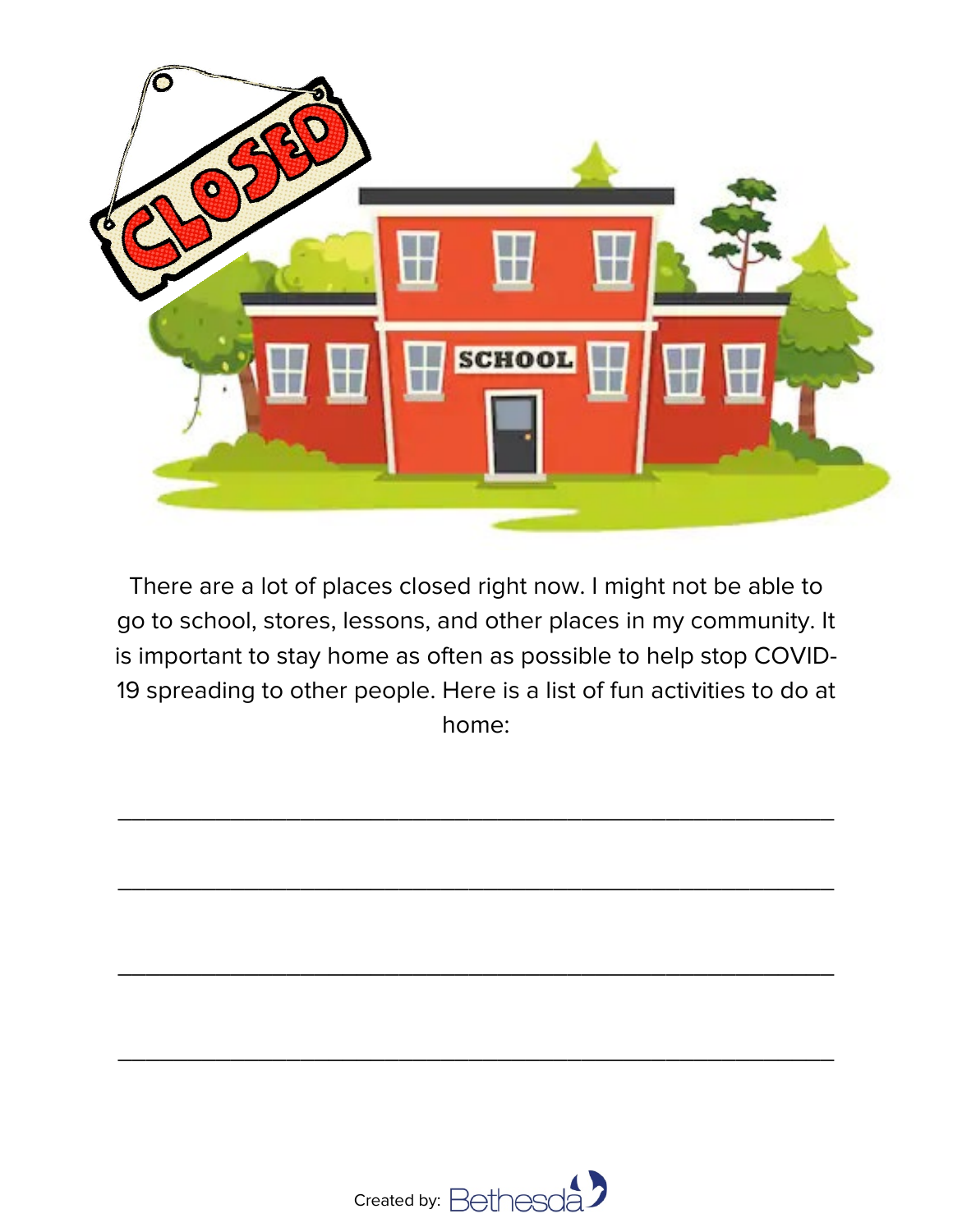![](_page_4_Picture_0.jpeg)

There are a lot of places closed right now. I might not be able to go to school, stores, lessons, and other places in my community. It is important to stay home as often as possible to help stop COVID-19 spreading to other people. Here is a list of fun activities to do at home:

\_\_\_\_\_\_\_\_\_\_\_\_\_\_\_\_\_\_\_\_\_\_\_\_\_\_\_\_\_\_\_\_\_\_\_\_\_\_\_\_\_\_\_\_\_\_\_\_\_\_\_

\_\_\_\_\_\_\_\_\_\_\_\_\_\_\_\_\_\_\_\_\_\_\_\_\_\_\_\_\_\_\_\_\_\_\_\_\_\_\_\_\_\_\_\_\_\_\_\_\_\_\_

\_\_\_\_\_\_\_\_\_\_\_\_\_\_\_\_\_\_\_\_\_\_\_\_\_\_\_\_\_\_\_\_\_\_\_\_\_\_\_\_\_\_\_\_\_\_\_\_\_\_\_

\_\_\_\_\_\_\_\_\_\_\_\_\_\_\_\_\_\_\_\_\_\_\_\_\_\_\_\_\_\_\_\_\_\_\_\_\_\_\_\_\_\_\_\_\_\_\_\_\_\_\_

![](_page_4_Picture_2.jpeg)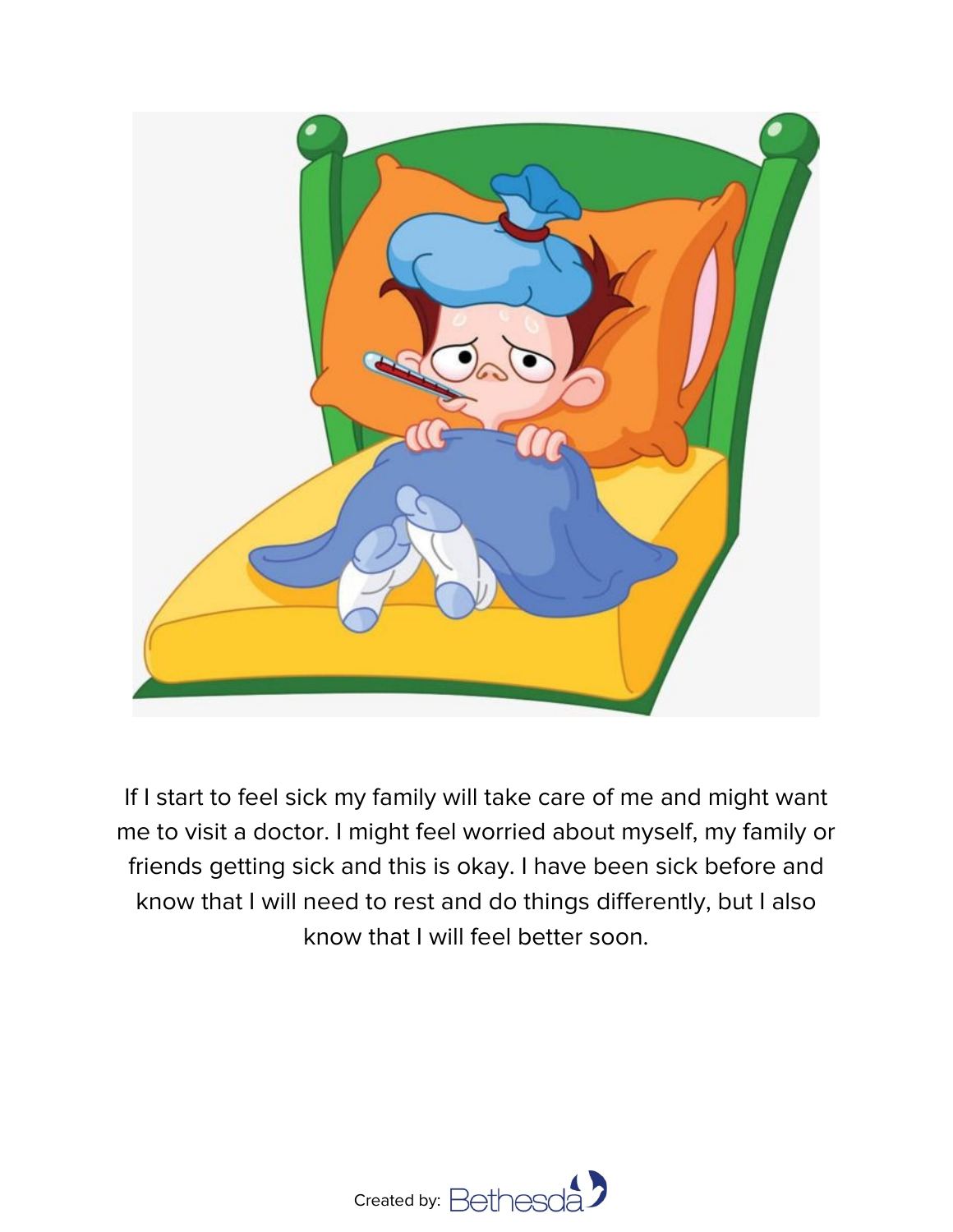![](_page_5_Picture_0.jpeg)

If I start to feel sick my family will take care of me and might want me to visit a doctor. I might feel worried about myself, my family or friends getting sick and this is okay. I have been sick before and know that I will need to rest and do things differently, but I also know that I will feel better soon.

![](_page_5_Picture_2.jpeg)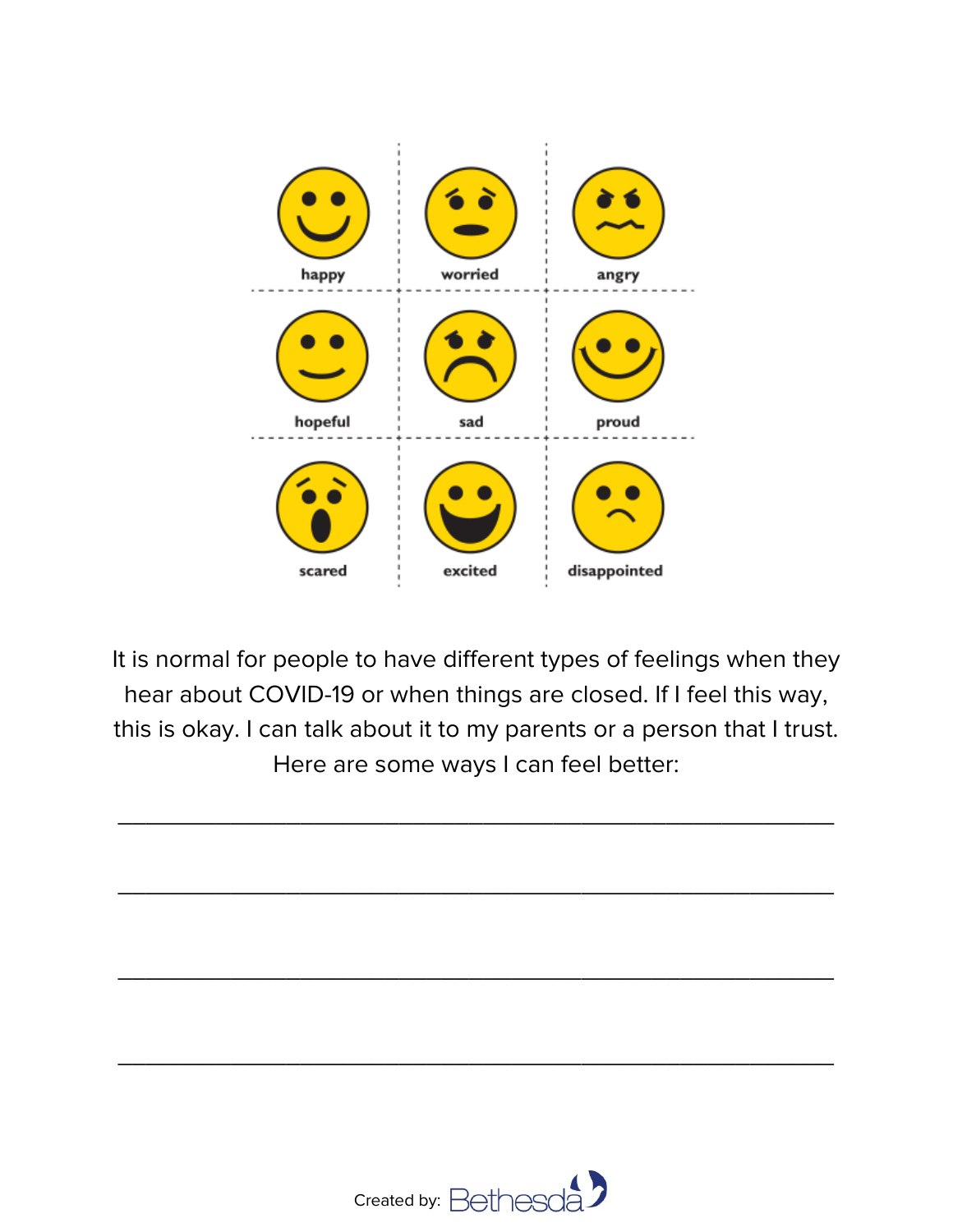![](_page_6_Figure_0.jpeg)

It is normal for people to have different types of feelings when they hear about COVID-19 or when things are closed. If I feel this way, this is okay. I can talk about it to my parents or a person that I trust. Here are some ways I can feel better:

\_\_\_\_\_\_\_\_\_\_\_\_\_\_\_\_\_\_\_\_\_\_\_\_\_\_\_\_\_\_\_\_\_\_\_\_\_\_\_\_\_\_\_\_\_\_\_\_\_\_\_

\_\_\_\_\_\_\_\_\_\_\_\_\_\_\_\_\_\_\_\_\_\_\_\_\_\_\_\_\_\_\_\_\_\_\_\_\_\_\_\_\_\_\_\_\_\_\_\_\_\_\_

\_\_\_\_\_\_\_\_\_\_\_\_\_\_\_\_\_\_\_\_\_\_\_\_\_\_\_\_\_\_\_\_\_\_\_\_\_\_\_\_\_\_\_\_\_\_\_\_\_\_\_

\_\_\_\_\_\_\_\_\_\_\_\_\_\_\_\_\_\_\_\_\_\_\_\_\_\_\_\_\_\_\_\_\_\_\_\_\_\_\_\_\_\_\_\_\_\_\_\_\_\_\_

![](_page_6_Picture_2.jpeg)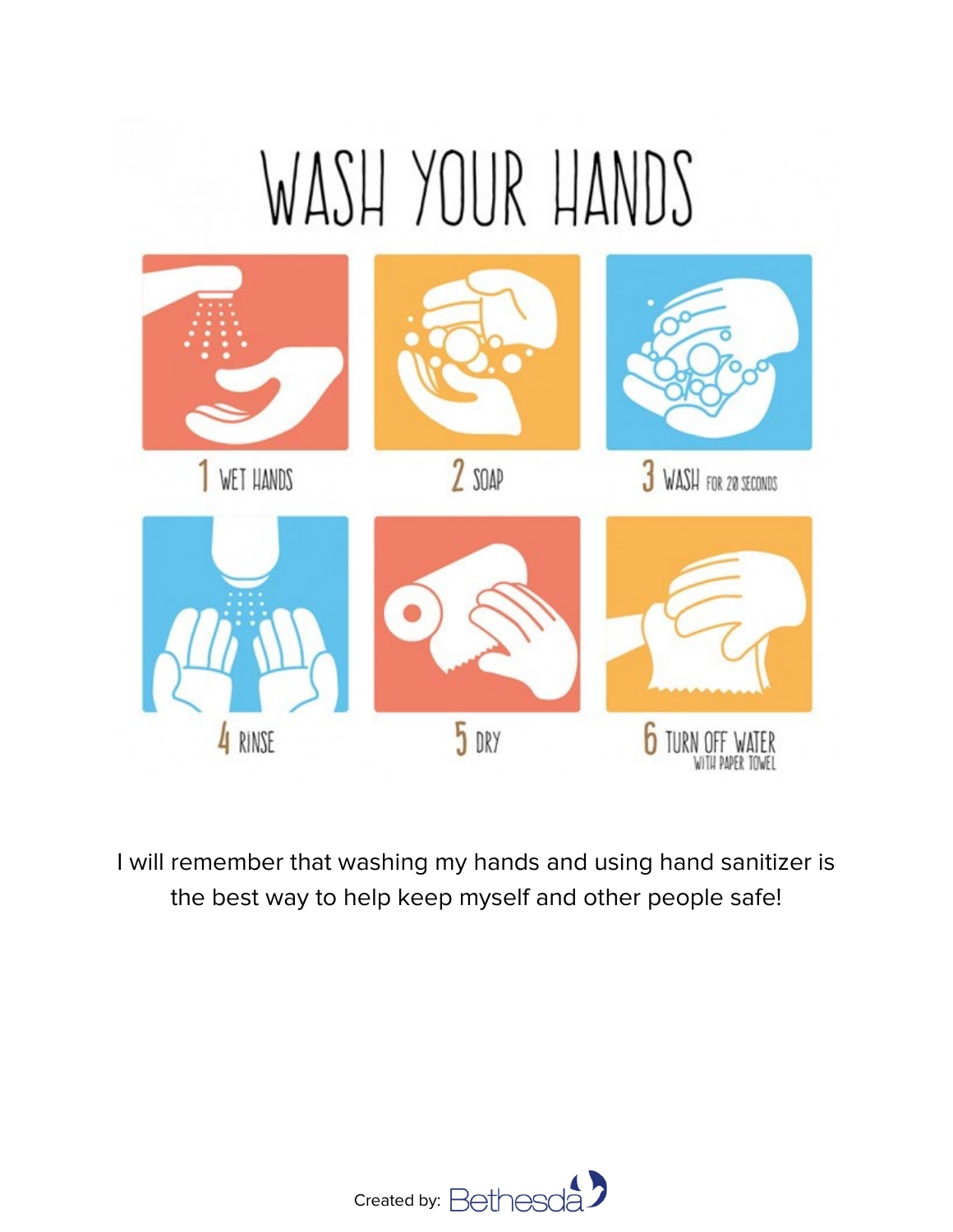## WASH YOUR HANDS

![](_page_7_Figure_1.jpeg)

I will remember that washing my hands and using hand sanitizer is the best way to help keep myself and other people safe!

![](_page_7_Picture_3.jpeg)